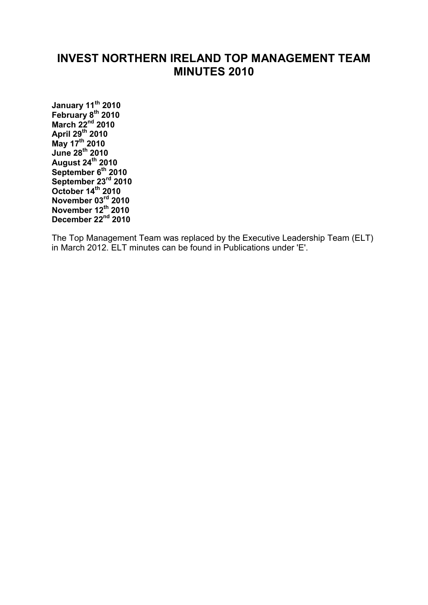# **INVEST NORTHERN IRELAND TOP MANAGEMENT TEAM MINUTES 2010**

**[January 11](#page-1-0)th 2010 [February 8](#page-3-0)th 2010 [March 22](#page-7-0)nd 2010 [April 29](#page-9-0)th 2010 [May 17th](#page-11-0) 2010 [June 28](#page-13-0)th 2010 [August 24th](#page-16-0) 2010 [September 6th](#page-19-0) 2010 [September 23rd](#page-21-0) 2010 [October 14](#page-23-0)th 2010 [November 03rd](#page-26-0) 2010 [November 12th](#page-30-0) 2010 [December 22nd](#page-32-0) 2010**

The Top Management Team was replaced by the Executive Leadership Team (ELT) in March 2012. ELT minutes can be found in Publications under 'E'.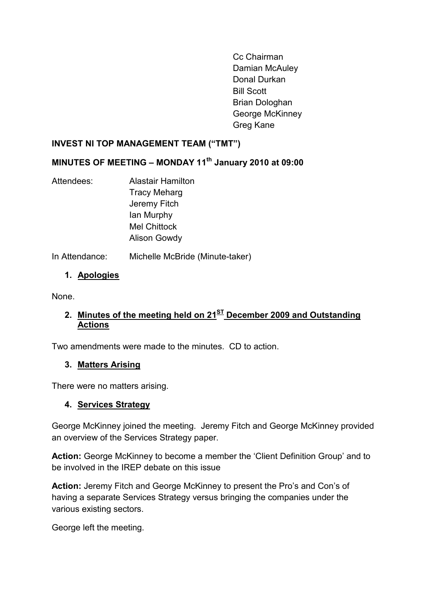Cc Chairman Damian McAuley Donal Durkan Bill Scott Brian Dologhan George McKinney Greg Kane

#### <span id="page-1-0"></span>**INVEST NI TOP MANAGEMENT TEAM ("TMT")**

#### **MINUTES OF MEETING – MONDAY 11th January 2010 at 09:00**

Attendees: Alastair Hamilton Tracy Meharg Jeremy Fitch Ian Murphy Mel Chittock Alison Gowdy

In Attendance: Michelle McBride (Minute-taker)

#### **1. Apologies**

None.

## **2. Minutes of the meeting held on 21ST December 2009 and Outstanding Actions**

Two amendments were made to the minutes. CD to action.

#### **3. Matters Arising**

There were no matters arising.

#### **4. Services Strategy**

George McKinney joined the meeting. Jeremy Fitch and George McKinney provided an overview of the Services Strategy paper.

**Action:** George McKinney to become a member the 'Client Definition Group' and to be involved in the IREP debate on this issue

**Action:** Jeremy Fitch and George McKinney to present the Pro's and Con's of having a separate Services Strategy versus bringing the companies under the various existing sectors.

George left the meeting.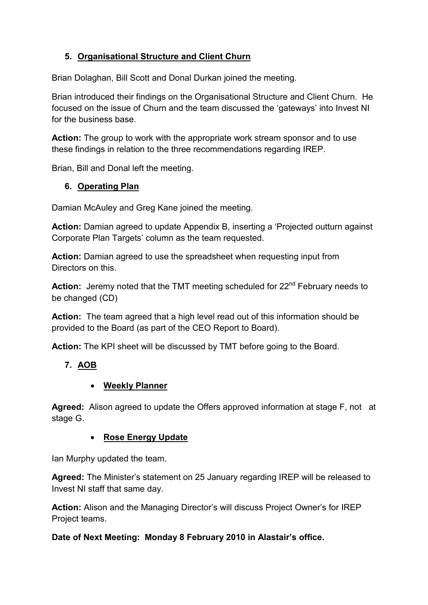## **5. Organisational Structure and Client Churn**

Brian Dolaghan, Bill Scott and Donal Durkan joined the meeting.

Brian introduced their findings on the Organisational Structure and Client Churn. He focused on the issue of Churn and the team discussed the 'gateways' into Invest NI for the business base.

**Action:** The group to work with the appropriate work stream sponsor and to use these findings in relation to the three recommendations regarding IREP.

Brian, Bill and Donal left the meeting.

## **6. Operating Plan**

Damian McAuley and Greg Kane joined the meeting.

**Action:** Damian agreed to update Appendix B, inserting a 'Projected outturn against Corporate Plan Targets' column as the team requested.

**Action:** Damian agreed to use the spreadsheet when requesting input from Directors on this.

Action: Jeremy noted that the TMT meeting scheduled for 22<sup>nd</sup> February needs to be changed (CD)

**Action:** The team agreed that a high level read out of this information should be provided to the Board (as part of the CEO Report to Board).

**Action:** The KPI sheet will be discussed by TMT before going to the Board.

## **7. AOB**

## • **Weekly Planner**

**Agreed:** Alison agreed to update the Offers approved information at stage F, not at stage G.

## • **Rose Energy Update**

Ian Murphy updated the team.

**Agreed:** The Minister's statement on 25 January regarding IREP will be released to Invest NI staff that same day.

**Action:** Alison and the Managing Director's will discuss Project Owner's for IREP Project teams.

## **Date of Next Meeting: Monday 8 February 2010 in Alastair's office.**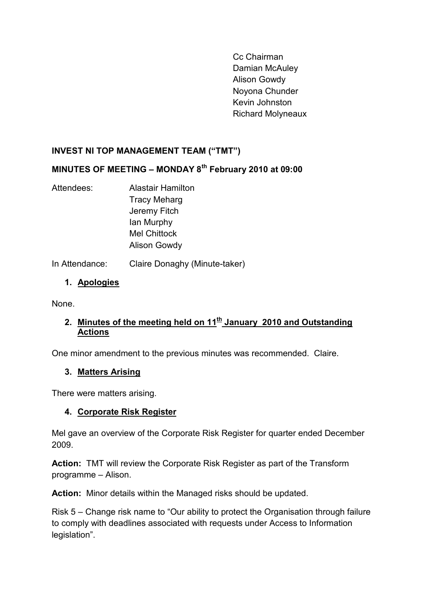Cc Chairman Damian McAuley Alison Gowdy Noyona Chunder Kevin Johnston Richard Molyneaux

## <span id="page-3-0"></span>**INVEST NI TOP MANAGEMENT TEAM ("TMT")**

## **MINUTES OF MEETING – MONDAY 8th February 2010 at 09:00**

Attendees: Alastair Hamilton Tracy Meharg Jeremy Fitch Ian Murphy Mel Chittock Alison Gowdy

In Attendance: Claire Donaghy (Minute-taker)

# **1. Apologies**

None.

## 2. Minutes of the meeting held on 11<sup>th</sup> January 2010 and Outstanding **Actions**

One minor amendment to the previous minutes was recommended. Claire.

#### **3. Matters Arising**

There were matters arising.

## **4. Corporate Risk Register**

Mel gave an overview of the Corporate Risk Register for quarter ended December 2009.

**Action:** TMT will review the Corporate Risk Register as part of the Transform programme – Alison.

**Action:** Minor details within the Managed risks should be updated.

Risk 5 – Change risk name to "Our ability to protect the Organisation through failure to comply with deadlines associated with requests under Access to Information legislation".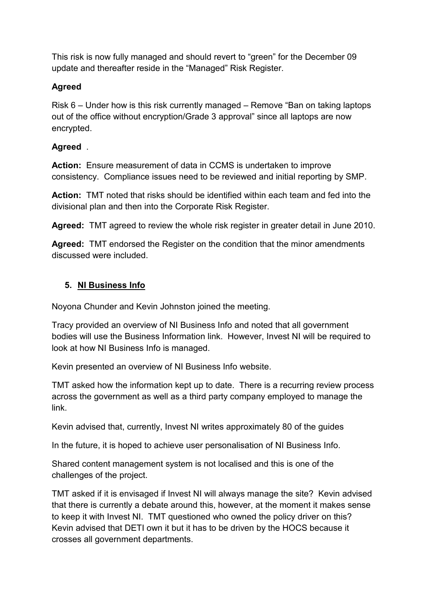This risk is now fully managed and should revert to "green" for the December 09 update and thereafter reside in the "Managed" Risk Register.

## **Agreed**

Risk 6 – Under how is this risk currently managed – Remove "Ban on taking laptops out of the office without encryption/Grade 3 approval" since all laptops are now encrypted.

## **Agreed** .

**Action:** Ensure measurement of data in CCMS is undertaken to improve consistency. Compliance issues need to be reviewed and initial reporting by SMP.

**Action:** TMT noted that risks should be identified within each team and fed into the divisional plan and then into the Corporate Risk Register.

**Agreed:** TMT agreed to review the whole risk register in greater detail in June 2010.

**Agreed:** TMT endorsed the Register on the condition that the minor amendments discussed were included.

## **5. NI Business Info**

Noyona Chunder and Kevin Johnston joined the meeting.

Tracy provided an overview of NI Business Info and noted that all government bodies will use the Business Information link. However, Invest NI will be required to look at how NI Business Info is managed.

Kevin presented an overview of NI Business Info website.

TMT asked how the information kept up to date. There is a recurring review process across the government as well as a third party company employed to manage the link.

Kevin advised that, currently, Invest NI writes approximately 80 of the guides

In the future, it is hoped to achieve user personalisation of NI Business Info.

Shared content management system is not localised and this is one of the challenges of the project.

TMT asked if it is envisaged if Invest NI will always manage the site? Kevin advised that there is currently a debate around this, however, at the moment it makes sense to keep it with Invest NI. TMT questioned who owned the policy driver on this? Kevin advised that DETI own it but it has to be driven by the HOCS because it crosses all government departments.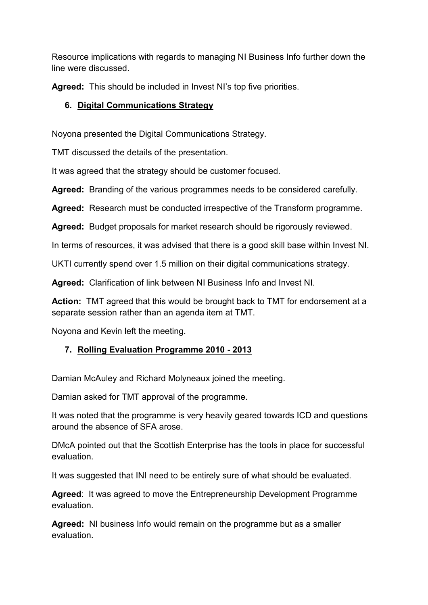Resource implications with regards to managing NI Business Info further down the line were discussed.

**Agreed:** This should be included in Invest NI's top five priorities.

## **6. Digital Communications Strategy**

Noyona presented the Digital Communications Strategy.

TMT discussed the details of the presentation.

It was agreed that the strategy should be customer focused.

**Agreed:** Branding of the various programmes needs to be considered carefully.

**Agreed:** Research must be conducted irrespective of the Transform programme.

**Agreed:** Budget proposals for market research should be rigorously reviewed.

In terms of resources, it was advised that there is a good skill base within Invest NI.

UKTI currently spend over 1.5 million on their digital communications strategy.

**Agreed:** Clarification of link between NI Business Info and Invest NI.

**Action:** TMT agreed that this would be brought back to TMT for endorsement at a separate session rather than an agenda item at TMT.

Noyona and Kevin left the meeting.

# **7. Rolling Evaluation Programme 2010 - 2013**

Damian McAuley and Richard Molyneaux joined the meeting.

Damian asked for TMT approval of the programme.

It was noted that the programme is very heavily geared towards ICD and questions around the absence of SFA arose.

DMcA pointed out that the Scottish Enterprise has the tools in place for successful evaluation.

It was suggested that INI need to be entirely sure of what should be evaluated.

**Agreed**: It was agreed to move the Entrepreneurship Development Programme evaluation.

**Agreed:** NI business Info would remain on the programme but as a smaller evaluation.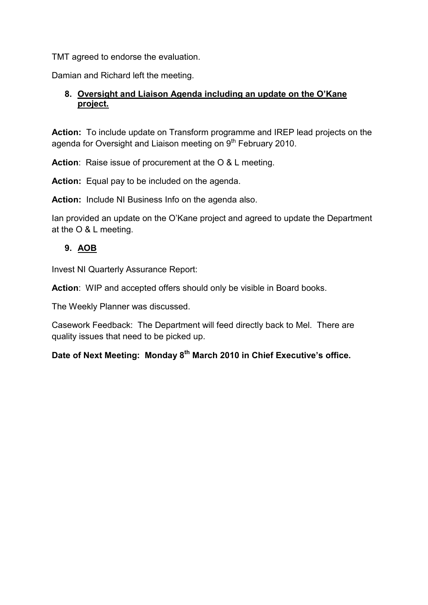TMT agreed to endorse the evaluation.

Damian and Richard left the meeting.

#### **8. Oversight and Liaison Agenda including an update on the O'Kane project.**

**Action:** To include update on Transform programme and IREP lead projects on the agenda for Oversight and Liaison meeting on 9<sup>th</sup> February 2010.

**Action**: Raise issue of procurement at the O & L meeting.

**Action:** Equal pay to be included on the agenda.

**Action:** Include NI Business Info on the agenda also.

Ian provided an update on the O'Kane project and agreed to update the Department at the O & L meeting.

## **9. AOB**

Invest NI Quarterly Assurance Report:

**Action**: WIP and accepted offers should only be visible in Board books.

The Weekly Planner was discussed.

Casework Feedback: The Department will feed directly back to Mel. There are quality issues that need to be picked up.

**Date of Next Meeting: Monday 8th March 2010 in Chief Executive's office.**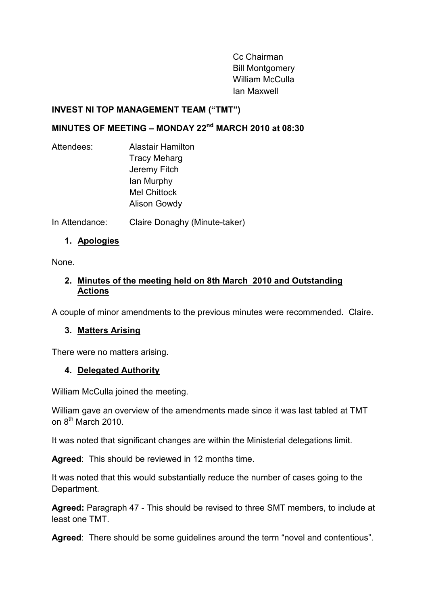Cc Chairman Bill Montgomery William McCulla Ian Maxwell

#### <span id="page-7-0"></span>**INVEST NI TOP MANAGEMENT TEAM ("TMT")**

# **MINUTES OF MEETING – MONDAY 22nd MARCH 2010 at 08:30**

Attendees: Alastair Hamilton Tracy Meharg Jeremy Fitch Ian Murphy Mel Chittock Alison Gowdy

In Attendance: Claire Donaghy (Minute-taker)

## **1. Apologies**

None.

#### **2. Minutes of the meeting held on 8th March 2010 and Outstanding Actions**

A couple of minor amendments to the previous minutes were recommended. Claire.

## **3. Matters Arising**

There were no matters arising.

#### **4. Delegated Authority**

William McCulla joined the meeting.

William gave an overview of the amendments made since it was last tabled at TMT on 8<sup>th</sup> March 2010.

It was noted that significant changes are within the Ministerial delegations limit.

**Agreed**: This should be reviewed in 12 months time.

It was noted that this would substantially reduce the number of cases going to the Department.

**Agreed:** Paragraph 47 - This should be revised to three SMT members, to include at least one TMT.

**Agreed**: There should be some guidelines around the term "novel and contentious".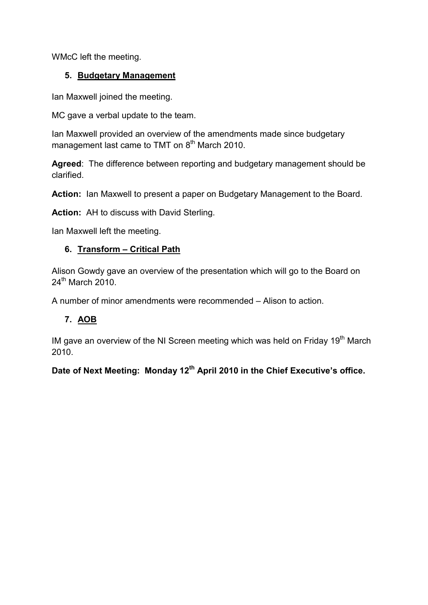WMcC left the meeting.

## **5. Budgetary Management**

Ian Maxwell joined the meeting.

MC gave a verbal update to the team.

Ian Maxwell provided an overview of the amendments made since budgetary management last came to TMT on  $8<sup>th</sup>$  March 2010.

**Agreed**: The difference between reporting and budgetary management should be clarified.

**Action:** Ian Maxwell to present a paper on Budgetary Management to the Board.

**Action:** AH to discuss with David Sterling.

Ian Maxwell left the meeting.

## **6. Transform – Critical Path**

Alison Gowdy gave an overview of the presentation which will go to the Board on 24<sup>th</sup> March 2010.

A number of minor amendments were recommended – Alison to action.

## **7. AOB**

IM gave an overview of the NI Screen meeting which was held on Friday  $19<sup>th</sup>$  March 2010.

**Date of Next Meeting: Monday 12th April 2010 in the Chief Executive's office.**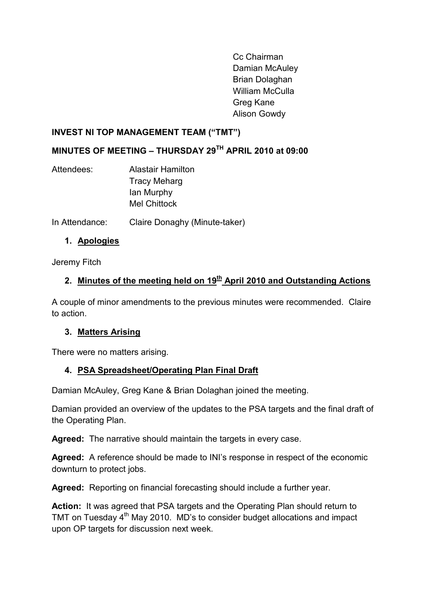Cc Chairman Damian McAuley Brian Dolaghan William McCulla Greg Kane Alison Gowdy

#### <span id="page-9-0"></span>**INVEST NI TOP MANAGEMENT TEAM ("TMT")**

## **MINUTES OF MEETING – THURSDAY 29TH APRIL 2010 at 09:00**

Attendees: Alastair Hamilton Tracy Meharg Ian Murphy Mel Chittock

In Attendance: Claire Donaghy (Minute-taker)

## **1. Apologies**

Jeremy Fitch

# 2. Minutes of the meeting held on 19<sup>th</sup> April 2010 and Outstanding Actions

A couple of minor amendments to the previous minutes were recommended. Claire to action.

## **3. Matters Arising**

There were no matters arising.

## **4. PSA Spreadsheet/Operating Plan Final Draft**

Damian McAuley, Greg Kane & Brian Dolaghan joined the meeting.

Damian provided an overview of the updates to the PSA targets and the final draft of the Operating Plan.

**Agreed:** The narrative should maintain the targets in every case.

**Agreed:** A reference should be made to INI's response in respect of the economic downturn to protect jobs.

**Agreed:** Reporting on financial forecasting should include a further year.

**Action:** It was agreed that PSA targets and the Operating Plan should return to TMT on Tuesday 4<sup>th</sup> May 2010. MD's to consider budget allocations and impact upon OP targets for discussion next week.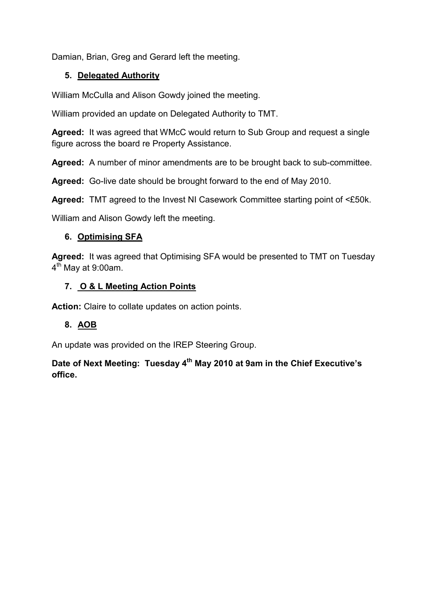Damian, Brian, Greg and Gerard left the meeting.

#### **5. Delegated Authority**

William McCulla and Alison Gowdy joined the meeting.

William provided an update on Delegated Authority to TMT.

**Agreed:** It was agreed that WMcC would return to Sub Group and request a single figure across the board re Property Assistance.

**Agreed:** A number of minor amendments are to be brought back to sub-committee.

**Agreed:** Go-live date should be brought forward to the end of May 2010.

**Agreed:** TMT agreed to the Invest NI Casework Committee starting point of <£50k.

William and Alison Gowdy left the meeting.

#### **6. Optimising SFA**

**Agreed:** It was agreed that Optimising SFA would be presented to TMT on Tuesday  $4<sup>th</sup>$  May at 9:00am.

#### **7. O & L Meeting Action Points**

**Action:** Claire to collate updates on action points.

#### **8. AOB**

An update was provided on the IREP Steering Group.

**Date of Next Meeting: Tuesday 4th May 2010 at 9am in the Chief Executive's office.**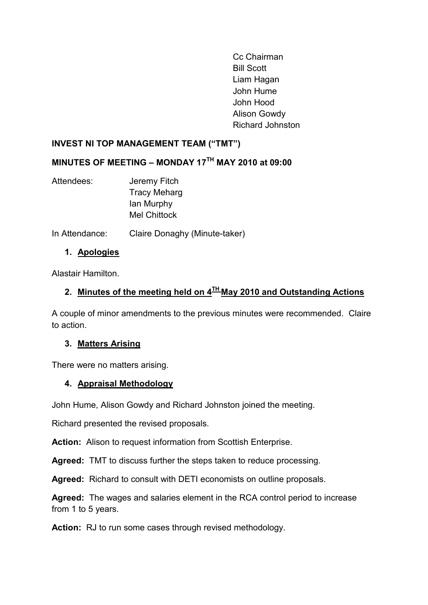Cc Chairman Bill Scott Liam Hagan John Hume John Hood Alison Gowdy Richard Johnston

#### <span id="page-11-0"></span>**INVEST NI TOP MANAGEMENT TEAM ("TMT")**

## **MINUTES OF MEETING – MONDAY 17TH MAY 2010 at 09:00**

- Attendees: Jeremy Fitch Tracy Meharg Ian Murphy Mel Chittock
- In Attendance: Claire Donaghy (Minute-taker)

#### **1. Apologies**

Alastair Hamilton.

# **2. Minutes of the meeting held on 4TH May 2010 and Outstanding Actions**

A couple of minor amendments to the previous minutes were recommended. Claire to action.

#### **3. Matters Arising**

There were no matters arising.

## **4. Appraisal Methodology**

John Hume, Alison Gowdy and Richard Johnston joined the meeting.

Richard presented the revised proposals.

**Action:** Alison to request information from Scottish Enterprise.

**Agreed:** TMT to discuss further the steps taken to reduce processing.

**Agreed:** Richard to consult with DETI economists on outline proposals.

**Agreed:** The wages and salaries element in the RCA control period to increase from 1 to 5 years.

**Action:** RJ to run some cases through revised methodology.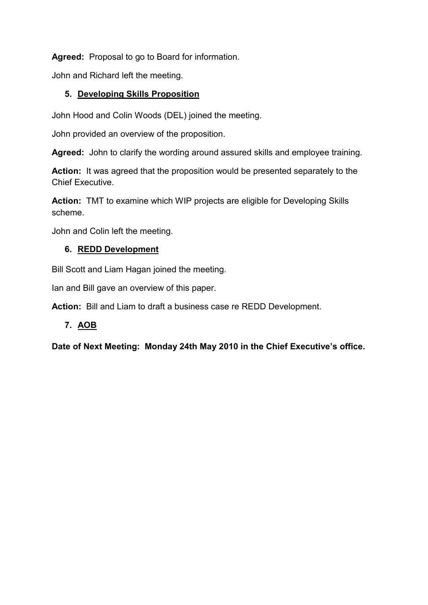**Agreed:** Proposal to go to Board for information.

John and Richard left the meeting.

## **5. Developing Skills Proposition**

John Hood and Colin Woods (DEL) joined the meeting.

John provided an overview of the proposition.

**Agreed:** John to clarify the wording around assured skills and employee training.

**Action:** It was agreed that the proposition would be presented separately to the Chief Executive.

**Action:** TMT to examine which WIP projects are eligible for Developing Skills scheme.

John and Colin left the meeting.

## **6. REDD Development**

Bill Scott and Liam Hagan joined the meeting.

Ian and Bill gave an overview of this paper.

**Action:** Bill and Liam to draft a business case re REDD Development.

## **7. AOB**

**Date of Next Meeting: Monday 24th May 2010 in the Chief Executive's office.**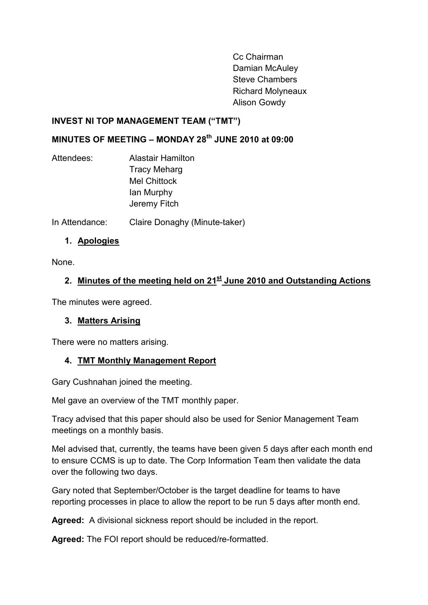Cc Chairman Damian McAuley Steve Chambers Richard Molyneaux Alison Gowdy

#### <span id="page-13-0"></span>**INVEST NI TOP MANAGEMENT TEAM ("TMT")**

# **MINUTES OF MEETING – MONDAY 28th JUNE 2010 at 09:00**

Attendees: Alastair Hamilton Tracy Meharg Mel Chittock Ian Murphy Jeremy Fitch

In Attendance: Claire Donaghy (Minute-taker)

## **1. Apologies**

None.

# **2. Minutes of the meeting held on 21st June 2010 and Outstanding Actions**

The minutes were agreed.

#### **3. Matters Arising**

There were no matters arising.

## **4. TMT Monthly Management Report**

Gary Cushnahan joined the meeting.

Mel gave an overview of the TMT monthly paper.

Tracy advised that this paper should also be used for Senior Management Team meetings on a monthly basis.

Mel advised that, currently, the teams have been given 5 days after each month end to ensure CCMS is up to date. The Corp Information Team then validate the data over the following two days.

Gary noted that September/October is the target deadline for teams to have reporting processes in place to allow the report to be run 5 days after month end.

**Agreed:** A divisional sickness report should be included in the report.

**Agreed:** The FOI report should be reduced/re-formatted.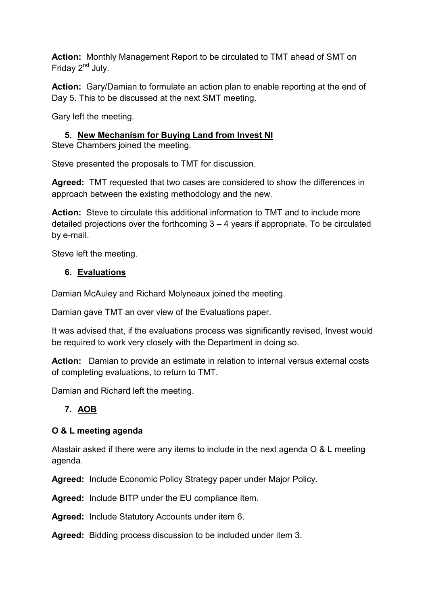**Action:** Monthly Management Report to be circulated to TMT ahead of SMT on Friday 2<sup>nd</sup> July.

**Action:** Gary/Damian to formulate an action plan to enable reporting at the end of Day 5. This to be discussed at the next SMT meeting.

Gary left the meeting.

# **5. New Mechanism for Buying Land from Invest NI**

Steve Chambers joined the meeting.

Steve presented the proposals to TMT for discussion.

**Agreed:** TMT requested that two cases are considered to show the differences in approach between the existing methodology and the new.

**Action:** Steve to circulate this additional information to TMT and to include more detailed projections over the forthcoming 3 – 4 years if appropriate. To be circulated by e-mail.

Steve left the meeting.

#### **6. Evaluations**

Damian McAuley and Richard Molyneaux joined the meeting.

Damian gave TMT an over view of the Evaluations paper.

It was advised that, if the evaluations process was significantly revised, Invest would be required to work very closely with the Department in doing so.

**Action:** Damian to provide an estimate in relation to internal versus external costs of completing evaluations, to return to TMT.

Damian and Richard left the meeting.

## **7. AOB**

#### **O & L meeting agenda**

Alastair asked if there were any items to include in the next agenda O & L meeting agenda.

**Agreed:** Include Economic Policy Strategy paper under Major Policy.

**Agreed:** Include BITP under the EU compliance item.

**Agreed:** Include Statutory Accounts under item 6.

**Agreed:** Bidding process discussion to be included under item 3.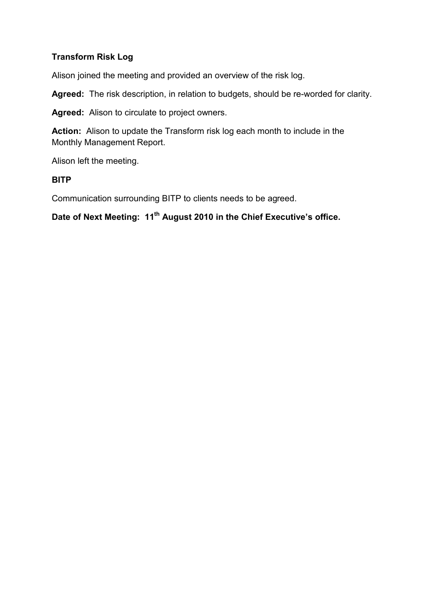#### **Transform Risk Log**

Alison joined the meeting and provided an overview of the risk log.

**Agreed:** The risk description, in relation to budgets, should be re-worded for clarity.

**Agreed:** Alison to circulate to project owners.

**Action:** Alison to update the Transform risk log each month to include in the Monthly Management Report.

Alison left the meeting.

#### **BITP**

Communication surrounding BITP to clients needs to be agreed.

# **Date of Next Meeting: 11th August 2010 in the Chief Executive's office.**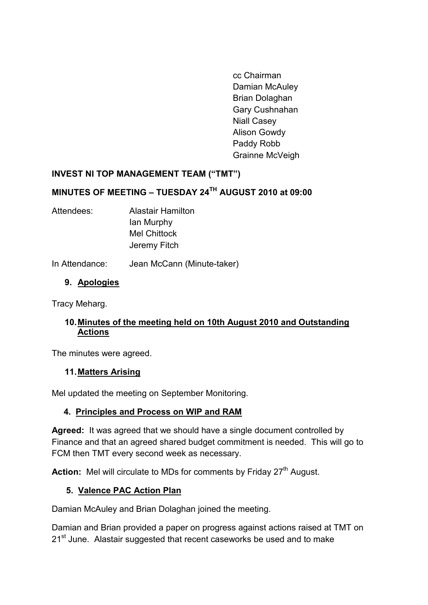cc Chairman Damian McAuley Brian Dolaghan Gary Cushnahan Niall Casey Alison Gowdy Paddy Robb Grainne McVeigh

## <span id="page-16-0"></span>**INVEST NI TOP MANAGEMENT TEAM ("TMT")**

# **MINUTES OF MEETING – TUESDAY 24TH AUGUST 2010 at 09:00**

Attendees: Alastair Hamilton Ian Murphy Mel Chittock Jeremy Fitch

In Attendance: Jean McCann (Minute-taker)

## **9. Apologies**

Tracy Meharg.

#### **10.Minutes of the meeting held on 10th August 2010 and Outstanding Actions**

The minutes were agreed.

#### **11.Matters Arising**

Mel updated the meeting on September Monitoring.

#### **4. Principles and Process on WIP and RAM**

**Agreed:** It was agreed that we should have a single document controlled by Finance and that an agreed shared budget commitment is needed. This will go to FCM then TMT every second week as necessary.

Action: Mel will circulate to MDs for comments by Friday 27<sup>th</sup> August.

#### **5. Valence PAC Action Plan**

Damian McAuley and Brian Dolaghan joined the meeting.

Damian and Brian provided a paper on progress against actions raised at TMT on 21<sup>st</sup> June. Alastair suggested that recent caseworks be used and to make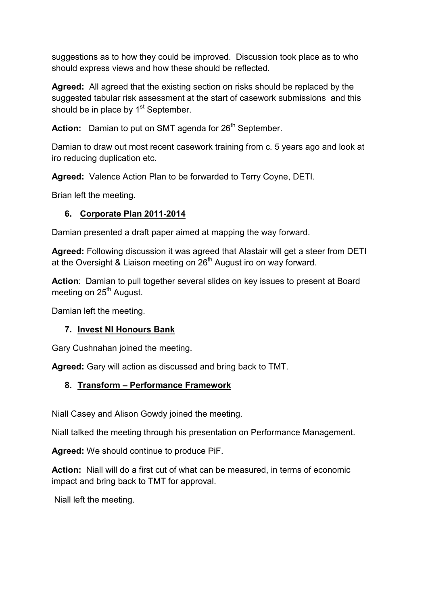suggestions as to how they could be improved. Discussion took place as to who should express views and how these should be reflected.

**Agreed:** All agreed that the existing section on risks should be replaced by the suggested tabular risk assessment at the start of casework submissions and this should be in place by  $1<sup>st</sup>$  September.

Action: Damian to put on SMT agenda for 26<sup>th</sup> September.

Damian to draw out most recent casework training from c. 5 years ago and look at iro reducing duplication etc.

**Agreed:** Valence Action Plan to be forwarded to Terry Coyne, DETI.

Brian left the meeting.

## **6. Corporate Plan 2011-2014**

Damian presented a draft paper aimed at mapping the way forward.

**Agreed:** Following discussion it was agreed that Alastair will get a steer from DETI at the Oversight & Liaison meeting on  $26<sup>th</sup>$  August iro on way forward.

**Action**: Damian to pull together several slides on key issues to present at Board meeting on 25<sup>th</sup> August.

Damian left the meeting.

## **7. Invest NI Honours Bank**

Gary Cushnahan joined the meeting.

**Agreed:** Gary will action as discussed and bring back to TMT.

## **8. Transform – Performance Framework**

Niall Casey and Alison Gowdy joined the meeting.

Niall talked the meeting through his presentation on Performance Management.

**Agreed:** We should continue to produce PiF.

**Action:** Niall will do a first cut of what can be measured, in terms of economic impact and bring back to TMT for approval.

Niall left the meeting.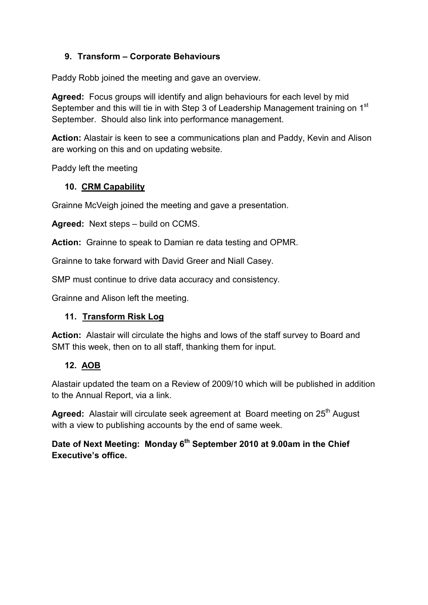## **9. Transform – Corporate Behaviours**

Paddy Robb joined the meeting and gave an overview.

**Agreed:** Focus groups will identify and align behaviours for each level by mid September and this will tie in with Step 3 of Leadership Management training on 1<sup>st</sup> September. Should also link into performance management.

**Action:** Alastair is keen to see a communications plan and Paddy, Kevin and Alison are working on this and on updating website.

Paddy left the meeting

#### **10. CRM Capability**

Grainne McVeigh joined the meeting and gave a presentation.

**Agreed:** Next steps – build on CCMS.

**Action:** Grainne to speak to Damian re data testing and OPMR.

Grainne to take forward with David Greer and Niall Casey.

SMP must continue to drive data accuracy and consistency.

Grainne and Alison left the meeting.

#### **11. Transform Risk Log**

**Action:** Alastair will circulate the highs and lows of the staff survey to Board and SMT this week, then on to all staff, thanking them for input.

#### **12. AOB**

Alastair updated the team on a Review of 2009/10 which will be published in addition to the Annual Report, via a link.

Agreed: Alastair will circulate seek agreement at Board meeting on 25<sup>th</sup> August with a view to publishing accounts by the end of same week.

**Date of Next Meeting: Monday 6th September 2010 at 9.00am in the Chief Executive's office.**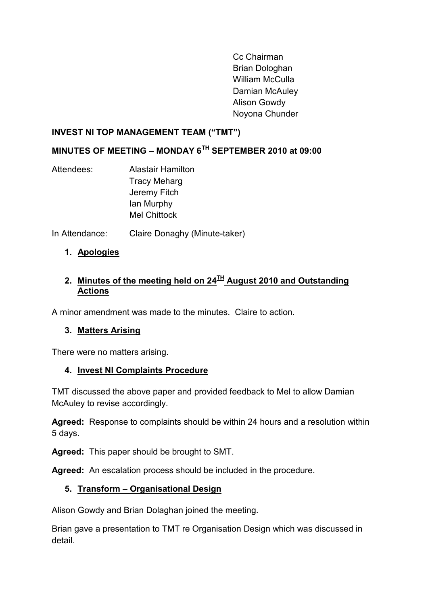Cc Chairman Brian Dologhan William McCulla Damian McAuley Alison Gowdy Noyona Chunder

#### <span id="page-19-0"></span>**INVEST NI TOP MANAGEMENT TEAM ("TMT")**

# **MINUTES OF MEETING – MONDAY 6TH SEPTEMBER 2010 at 09:00**

- Attendees: Alastair Hamilton Tracy Meharg Jeremy Fitch Ian Murphy Mel Chittock
- In Attendance: Claire Donaghy (Minute-taker)
	- **1. Apologies**

## **2. Minutes of the meeting held on 24TH August 2010 and Outstanding Actions**

A minor amendment was made to the minutes. Claire to action.

#### **3. Matters Arising**

There were no matters arising.

#### **4. Invest NI Complaints Procedure**

TMT discussed the above paper and provided feedback to Mel to allow Damian McAuley to revise accordingly.

**Agreed:** Response to complaints should be within 24 hours and a resolution within 5 days.

**Agreed:** This paper should be brought to SMT.

**Agreed:** An escalation process should be included in the procedure.

#### **5. Transform – Organisational Design**

Alison Gowdy and Brian Dolaghan joined the meeting.

Brian gave a presentation to TMT re Organisation Design which was discussed in detail.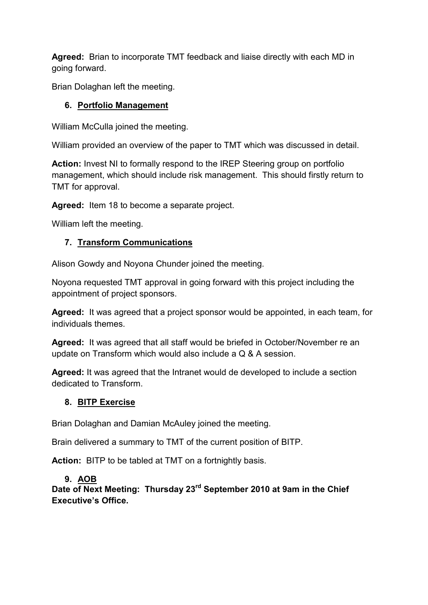**Agreed:** Brian to incorporate TMT feedback and liaise directly with each MD in going forward.

Brian Dolaghan left the meeting.

## **6. Portfolio Management**

William McCulla joined the meeting.

William provided an overview of the paper to TMT which was discussed in detail.

**Action:** Invest NI to formally respond to the IREP Steering group on portfolio management, which should include risk management. This should firstly return to TMT for approval.

**Agreed:** Item 18 to become a separate project.

William left the meeting.

# **7. Transform Communications**

Alison Gowdy and Noyona Chunder joined the meeting.

Noyona requested TMT approval in going forward with this project including the appointment of project sponsors.

**Agreed:** It was agreed that a project sponsor would be appointed, in each team, for individuals themes.

**Agreed:** It was agreed that all staff would be briefed in October/November re an update on Transform which would also include a Q & A session.

**Agreed:** It was agreed that the Intranet would de developed to include a section dedicated to Transform.

# **8. BITP Exercise**

Brian Dolaghan and Damian McAuley joined the meeting.

Brain delivered a summary to TMT of the current position of BITP.

**Action:** BITP to be tabled at TMT on a fortnightly basis.

# **9. AOB**

**Date of Next Meeting: Thursday 23rd September 2010 at 9am in the Chief Executive's Office.**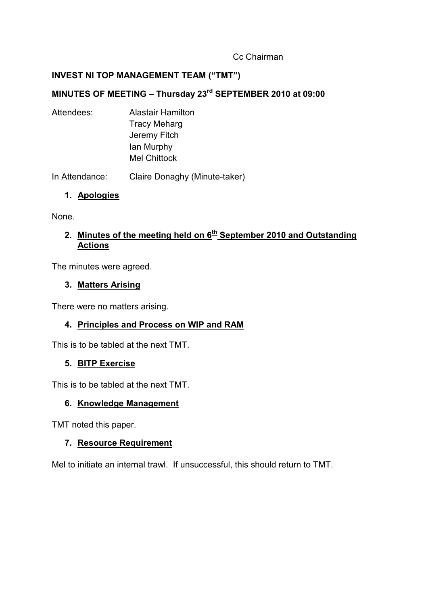#### Cc Chairman

### <span id="page-21-0"></span>**INVEST NI TOP MANAGEMENT TEAM ("TMT")**

# **MINUTES OF MEETING – Thursday 23rd SEPTEMBER 2010 at 09:00**

Attendees: Alastair Hamilton Tracy Meharg Jeremy Fitch Ian Murphy Mel Chittock

In Attendance: Claire Donaghy (Minute-taker)

#### **1. Apologies**

None.

## **2. Minutes of the meeting held on 6th September 2010 and Outstanding Actions**

The minutes were agreed.

#### **3. Matters Arising**

There were no matters arising.

#### **4. Principles and Process on WIP and RAM**

This is to be tabled at the next TMT.

#### **5. BITP Exercise**

This is to be tabled at the next TMT.

#### **6. Knowledge Management**

TMT noted this paper.

#### **7. Resource Requirement**

Mel to initiate an internal trawl. If unsuccessful, this should return to TMT.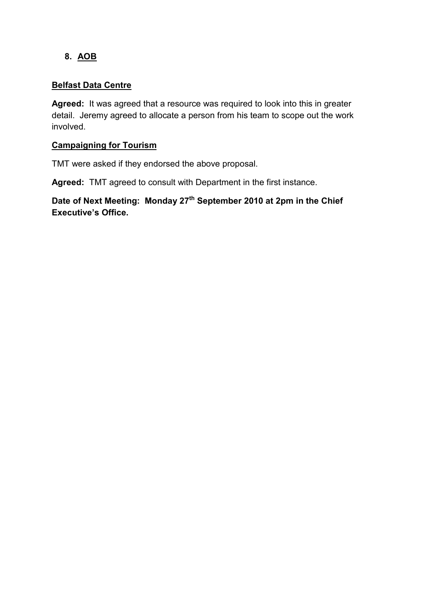## **8. AOB**

#### **Belfast Data Centre**

**Agreed:** It was agreed that a resource was required to look into this in greater detail. Jeremy agreed to allocate a person from his team to scope out the work involved.

#### **Campaigning for Tourism**

TMT were asked if they endorsed the above proposal.

**Agreed:** TMT agreed to consult with Department in the first instance.

**Date of Next Meeting: Monday 27th September 2010 at 2pm in the Chief Executive's Office.**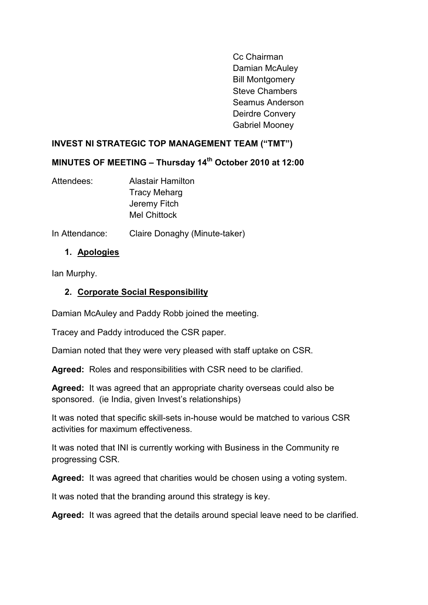Cc Chairman Damian McAuley Bill Montgomery Steve Chambers Seamus Anderson Deirdre Convery Gabriel Mooney

#### <span id="page-23-0"></span>**INVEST NI STRATEGIC TOP MANAGEMENT TEAM ("TMT")**

## **MINUTES OF MEETING – Thursday 14th October 2010 at 12:00**

- Attendees: Alastair Hamilton Tracy Meharg Jeremy Fitch Mel Chittock
- In Attendance: Claire Donaghy (Minute-taker)

#### **1. Apologies**

Ian Murphy.

## **2. Corporate Social Responsibility**

Damian McAuley and Paddy Robb joined the meeting.

Tracey and Paddy introduced the CSR paper.

Damian noted that they were very pleased with staff uptake on CSR.

**Agreed:** Roles and responsibilities with CSR need to be clarified.

**Agreed:** It was agreed that an appropriate charity overseas could also be sponsored. (ie India, given Invest's relationships)

It was noted that specific skill-sets in-house would be matched to various CSR activities for maximum effectiveness.

It was noted that INI is currently working with Business in the Community re progressing CSR.

**Agreed:** It was agreed that charities would be chosen using a voting system.

It was noted that the branding around this strategy is key.

**Agreed:** It was agreed that the details around special leave need to be clarified.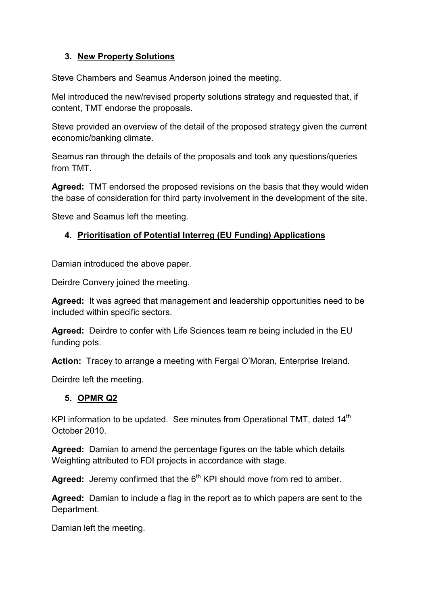## **3. New Property Solutions**

Steve Chambers and Seamus Anderson joined the meeting.

Mel introduced the new/revised property solutions strategy and requested that, if content, TMT endorse the proposals.

Steve provided an overview of the detail of the proposed strategy given the current economic/banking climate.

Seamus ran through the details of the proposals and took any questions/queries from TMT.

**Agreed:** TMT endorsed the proposed revisions on the basis that they would widen the base of consideration for third party involvement in the development of the site.

Steve and Seamus left the meeting.

# **4. Prioritisation of Potential Interreg (EU Funding) Applications**

Damian introduced the above paper.

Deirdre Convery joined the meeting.

**Agreed:** It was agreed that management and leadership opportunities need to be included within specific sectors.

**Agreed:** Deirdre to confer with Life Sciences team re being included in the EU funding pots.

**Action:** Tracey to arrange a meeting with Fergal O'Moran, Enterprise Ireland.

Deirdre left the meeting.

#### **5. OPMR Q2**

KPI information to be updated. See minutes from Operational TMT, dated  $14<sup>th</sup>$ October 2010.

**Agreed:** Damian to amend the percentage figures on the table which details Weighting attributed to FDI projects in accordance with stage.

**Agreed:** Jeremy confirmed that the 6<sup>th</sup> KPI should move from red to amber.

**Agreed:** Damian to include a flag in the report as to which papers are sent to the Department.

Damian left the meeting.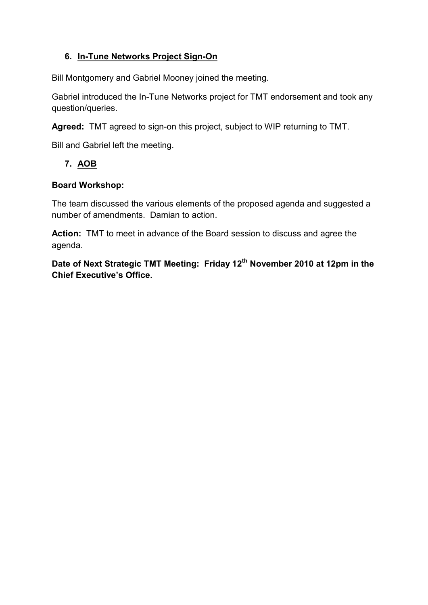## **6. In-Tune Networks Project Sign-On**

Bill Montgomery and Gabriel Mooney joined the meeting.

Gabriel introduced the In-Tune Networks project for TMT endorsement and took any question/queries.

**Agreed:** TMT agreed to sign-on this project, subject to WIP returning to TMT.

Bill and Gabriel left the meeting.

# **7. AOB**

## **Board Workshop:**

The team discussed the various elements of the proposed agenda and suggested a number of amendments. Damian to action.

**Action:** TMT to meet in advance of the Board session to discuss and agree the agenda.

**Date of Next Strategic TMT Meeting: Friday 12th November 2010 at 12pm in the Chief Executive's Office.**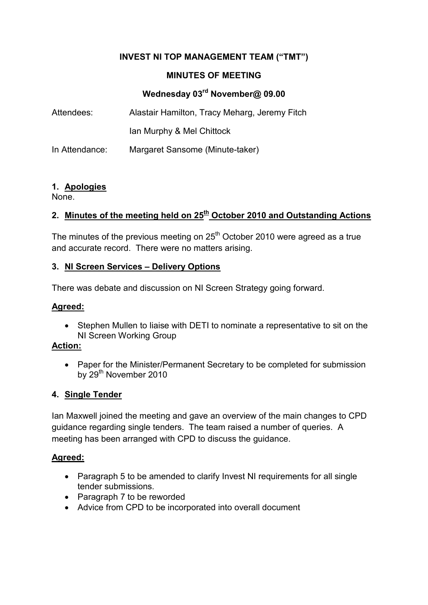## **INVEST NI TOP MANAGEMENT TEAM ("TMT")**

#### **MINUTES OF MEETING**

# **Wednesday 03rd November@ 09.00**

<span id="page-26-0"></span>

| Attendees:     | Alastair Hamilton, Tracy Meharg, Jeremy Fitch |
|----------------|-----------------------------------------------|
|                | Ian Murphy & Mel Chittock                     |
| In Attendance: | Margaret Sansome (Minute-taker)               |

#### **1. Apologies**

None.

## **2. Minutes of the meeting held on 25th October 2010 and Outstanding Actions**

The minutes of the previous meeting on  $25<sup>th</sup>$  October 2010 were agreed as a true and accurate record. There were no matters arising.

#### **3. NI Screen Services – Delivery Options**

There was debate and discussion on NI Screen Strategy going forward.

#### **Agreed:**

• Stephen Mullen to liaise with DETI to nominate a representative to sit on the NI Screen Working Group

#### **Action:**

• Paper for the Minister/Permanent Secretary to be completed for submission by 29<sup>th</sup> November 2010

#### **4. Single Tender**

Ian Maxwell joined the meeting and gave an overview of the main changes to CPD guidance regarding single tenders. The team raised a number of queries. A meeting has been arranged with CPD to discuss the guidance.

#### **Agreed:**

- Paragraph 5 to be amended to clarify Invest NI requirements for all single tender submissions.
- Paragraph 7 to be reworded
- Advice from CPD to be incorporated into overall document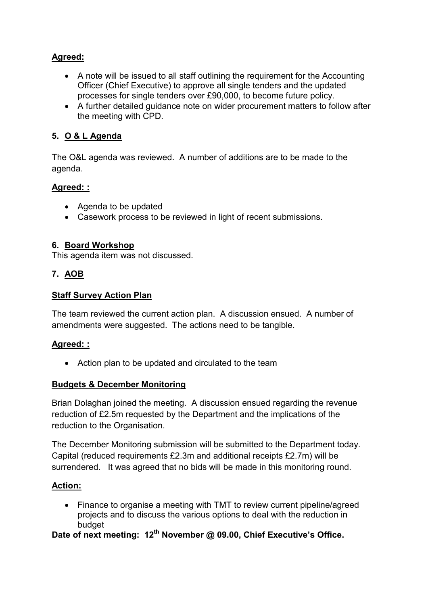## **Agreed:**

- A note will be issued to all staff outlining the requirement for the Accounting Officer (Chief Executive) to approve all single tenders and the updated processes for single tenders over £90,000, to become future policy.
- A further detailed guidance note on wider procurement matters to follow after the meeting with CPD.

## **5. O & L Agenda**

The O&L agenda was reviewed. A number of additions are to be made to the agenda.

#### **Agreed: :**

- Agenda to be updated
- Casework process to be reviewed in light of recent submissions.

#### **6. Board Workshop**

This agenda item was not discussed.

#### **7. AOB**

## **Staff Survey Action Plan**

The team reviewed the current action plan. A discussion ensued. A number of amendments were suggested. The actions need to be tangible.

#### **Agreed: :**

• Action plan to be updated and circulated to the team

#### **Budgets & December Monitoring**

Brian Dolaghan joined the meeting. A discussion ensued regarding the revenue reduction of £2.5m requested by the Department and the implications of the reduction to the Organisation.

The December Monitoring submission will be submitted to the Department today. Capital (reduced requirements £2.3m and additional receipts £2.7m) will be surrendered. It was agreed that no bids will be made in this monitoring round.

#### **Action:**

• Finance to organise a meeting with TMT to review current pipeline/agreed projects and to discuss the various options to deal with the reduction in budget

**Date of next meeting: 12th November @ 09.00, Chief Executive's Office.**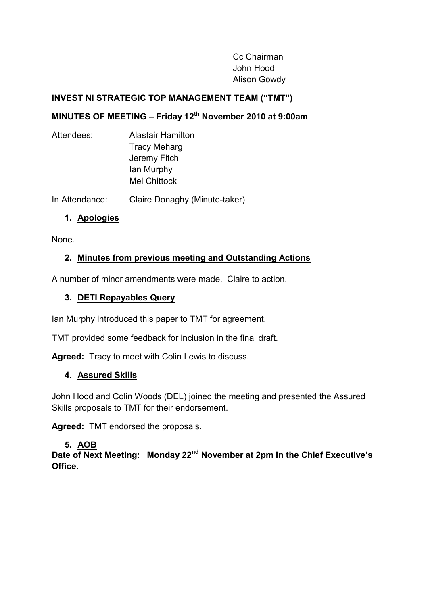Cc Chairman John Hood Alison Gowdy

#### **INVEST NI STRATEGIC TOP MANAGEMENT TEAM ("TMT")**

# **MINUTES OF MEETING – Friday 12th November 2010 at 9:00am**

| Attendees: | <b>Alastair Hamilton</b> |
|------------|--------------------------|
|            | <b>Tracy Meharg</b>      |
|            | Jeremy Fitch             |
|            | lan Murphy               |
|            | <b>Mel Chittock</b>      |
|            |                          |

In Attendance: Claire Donaghy (Minute-taker)

#### **1. Apologies**

None.

## **2. Minutes from previous meeting and Outstanding Actions**

A number of minor amendments were made. Claire to action.

## **3. DETI Repayables Query**

Ian Murphy introduced this paper to TMT for agreement.

TMT provided some feedback for inclusion in the final draft.

**Agreed:** Tracy to meet with Colin Lewis to discuss.

#### **4. Assured Skills**

John Hood and Colin Woods (DEL) joined the meeting and presented the Assured Skills proposals to TMT for their endorsement.

**Agreed:** TMT endorsed the proposals.

## **5. AOB**

**Date of Next Meeting: Monday 22nd November at 2pm in the Chief Executive's Office.**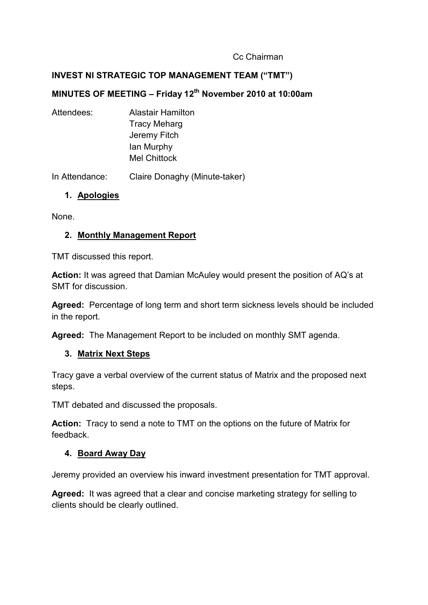#### Cc Chairman

#### <span id="page-30-0"></span>**INVEST NI STRATEGIC TOP MANAGEMENT TEAM ("TMT")**

# **MINUTES OF MEETING – Friday 12th November 2010 at 10:00am**

Attendees: Alastair Hamilton Tracy Meharg Jeremy Fitch Ian Murphy Mel Chittock

In Attendance: Claire Donaghy (Minute-taker)

## **1. Apologies**

None.

#### **2. Monthly Management Report**

TMT discussed this report.

**Action:** It was agreed that Damian McAuley would present the position of AQ's at SMT for discussion.

**Agreed:** Percentage of long term and short term sickness levels should be included in the report.

**Agreed:** The Management Report to be included on monthly SMT agenda.

#### **3. Matrix Next Steps**

Tracy gave a verbal overview of the current status of Matrix and the proposed next steps.

TMT debated and discussed the proposals.

**Action:** Tracy to send a note to TMT on the options on the future of Matrix for feedback.

#### **4. Board Away Day**

Jeremy provided an overview his inward investment presentation for TMT approval.

**Agreed:** It was agreed that a clear and concise marketing strategy for selling to clients should be clearly outlined.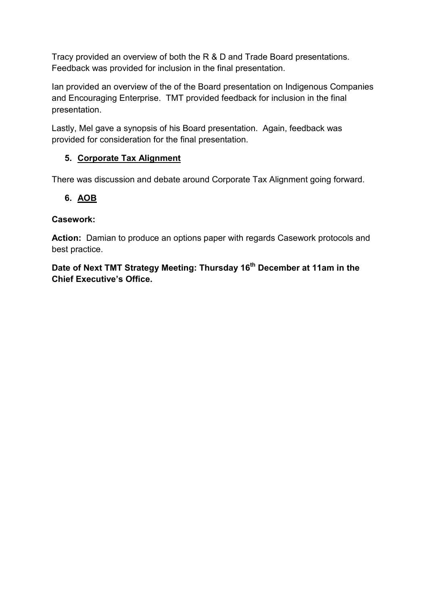Tracy provided an overview of both the R & D and Trade Board presentations. Feedback was provided for inclusion in the final presentation.

Ian provided an overview of the of the Board presentation on Indigenous Companies and Encouraging Enterprise. TMT provided feedback for inclusion in the final presentation.

Lastly, Mel gave a synopsis of his Board presentation. Again, feedback was provided for consideration for the final presentation.

## **5. Corporate Tax Alignment**

There was discussion and debate around Corporate Tax Alignment going forward.

## **6. AOB**

## **Casework:**

**Action:** Damian to produce an options paper with regards Casework protocols and best practice.

**Date of Next TMT Strategy Meeting: Thursday 16th December at 11am in the Chief Executive's Office.**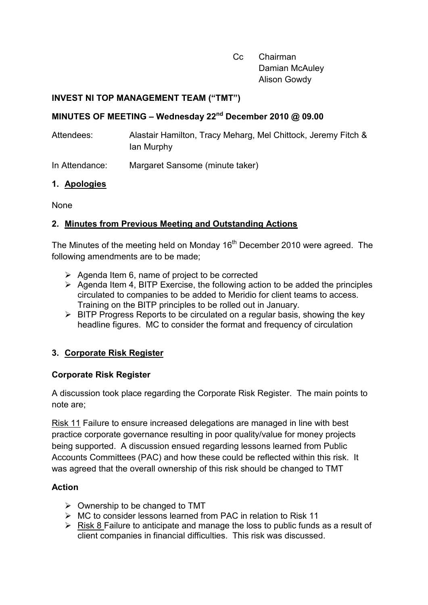Cc Chairman Damian McAuley Alison Gowdy

#### <span id="page-32-0"></span>**INVEST NI TOP MANAGEMENT TEAM ("TMT")**

## **MINUTES OF MEETING – Wednesday 22nd December 2010 @ 09.00**

Attendees: Alastair Hamilton, Tracy Meharg, Mel Chittock, Jeremy Fitch & Ian Murphy

In Attendance: Margaret Sansome (minute taker)

## **1. Apologies**

None

# **2. Minutes from Previous Meeting and Outstanding Actions**

The Minutes of the meeting held on Monday 16<sup>th</sup> December 2010 were agreed. The following amendments are to be made;

- $\triangleright$  Agenda Item 6, name of project to be corrected
- $\triangleright$  Agenda Item 4, BITP Exercise, the following action to be added the principles circulated to companies to be added to Meridio for client teams to access. Training on the BITP principles to be rolled out in January.
- $\triangleright$  BITP Progress Reports to be circulated on a regular basis, showing the key headline figures. MC to consider the format and frequency of circulation

## **3. Corporate Risk Register**

#### **Corporate Risk Register**

A discussion took place regarding the Corporate Risk Register. The main points to note are;

Risk 11 Failure to ensure increased delegations are managed in line with best practice corporate governance resulting in poor quality/value for money projects being supported. A discussion ensued regarding lessons learned from Public Accounts Committees (PAC) and how these could be reflected within this risk. It was agreed that the overall ownership of this risk should be changed to TMT

## **Action**

- $\triangleright$  Ownership to be changed to TMT
- $\triangleright$  MC to consider lessons learned from PAC in relation to Risk 11
- $\triangleright$  Risk 8 Failure to anticipate and manage the loss to public funds as a result of client companies in financial difficulties. This risk was discussed.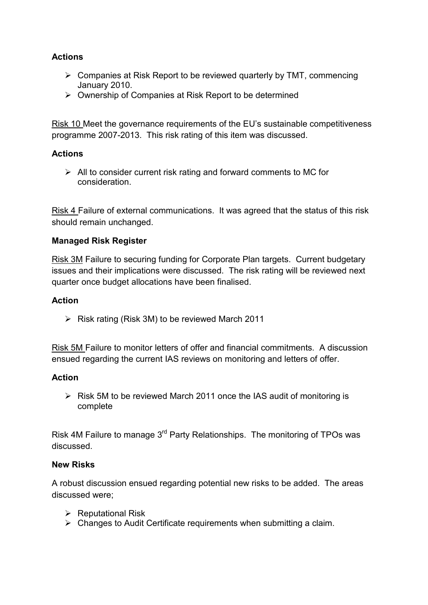## **Actions**

- $\triangleright$  Companies at Risk Report to be reviewed quarterly by TMT, commencing January 2010.
- $\triangleright$  Ownership of Companies at Risk Report to be determined

Risk 10 Meet the governance requirements of the EU's sustainable competitiveness programme 2007-2013. This risk rating of this item was discussed.

#### **Actions**

 $\triangleright$  All to consider current risk rating and forward comments to MC for consideration.

Risk 4 Failure of external communications. It was agreed that the status of this risk should remain unchanged.

#### **Managed Risk Register**

Risk 3M Failure to securing funding for Corporate Plan targets. Current budgetary issues and their implications were discussed. The risk rating will be reviewed next quarter once budget allocations have been finalised.

#### **Action**

 $\triangleright$  Risk rating (Risk 3M) to be reviewed March 2011

Risk 5M Failure to monitor letters of offer and financial commitments. A discussion ensued regarding the current IAS reviews on monitoring and letters of offer.

#### **Action**

 $\triangleright$  Risk 5M to be reviewed March 2011 once the IAS audit of monitoring is complete

Risk 4M Failure to manage 3rd Party Relationships. The monitoring of TPOs was discussed.

#### **New Risks**

A robust discussion ensued regarding potential new risks to be added. The areas discussed were;

- $\triangleright$  Reputational Risk
- $\triangleright$  Changes to Audit Certificate requirements when submitting a claim.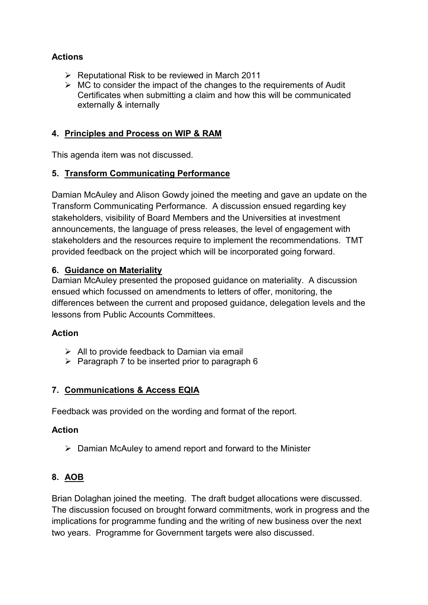## **Actions**

- $\triangleright$  Reputational Risk to be reviewed in March 2011
- $\triangleright$  MC to consider the impact of the changes to the requirements of Audit Certificates when submitting a claim and how this will be communicated externally & internally

#### **4. Principles and Process on WIP & RAM**

This agenda item was not discussed.

#### **5. Transform Communicating Performance**

Damian McAuley and Alison Gowdy joined the meeting and gave an update on the Transform Communicating Performance. A discussion ensued regarding key stakeholders, visibility of Board Members and the Universities at investment announcements, the language of press releases, the level of engagement with stakeholders and the resources require to implement the recommendations. TMT provided feedback on the project which will be incorporated going forward.

#### **6. Guidance on Materiality**

Damian McAuley presented the proposed guidance on materiality. A discussion ensued which focussed on amendments to letters of offer, monitoring, the differences between the current and proposed guidance, delegation levels and the lessons from Public Accounts Committees.

#### **Action**

- $\triangleright$  All to provide feedback to Damian via email
- $\triangleright$  Paragraph 7 to be inserted prior to paragraph 6

#### **7. Communications & Access EQIA**

Feedback was provided on the wording and format of the report.

#### **Action**

 $\triangleright$  Damian McAuley to amend report and forward to the Minister

#### **8. AOB**

Brian Dolaghan joined the meeting. The draft budget allocations were discussed. The discussion focused on brought forward commitments, work in progress and the implications for programme funding and the writing of new business over the next two years. Programme for Government targets were also discussed.